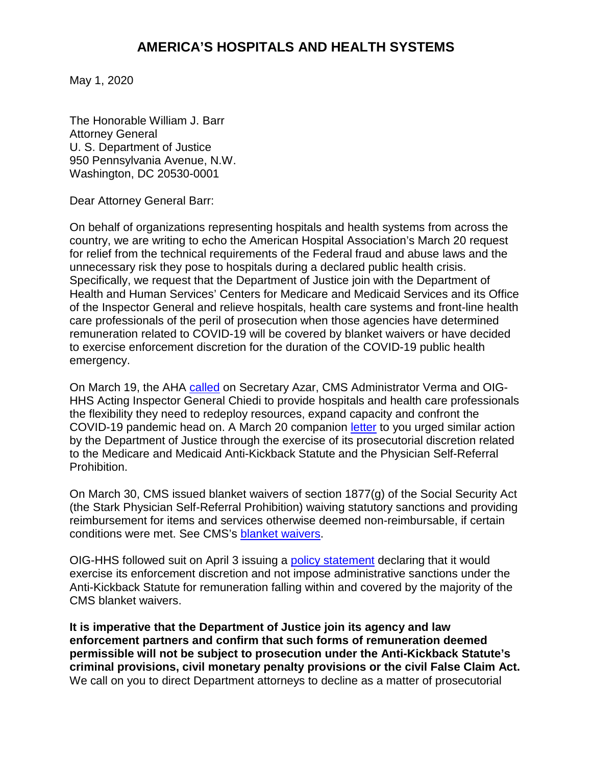May 1, 2020

The Honorable William J. Barr Attorney General U. S. Department of Justice 950 Pennsylvania Avenue, N.W. Washington, DC 20530-0001

Dear Attorney General Barr:

On behalf of organizations representing hospitals and health systems from across the country, we are writing to echo the American Hospital Association's March 20 request for relief from the technical requirements of the Federal fraud and abuse laws and the unnecessary risk they pose to hospitals during a declared public health crisis. Specifically, we request that the Department of Justice join with the Department of Health and Human Services' Centers for Medicare and Medicaid Services and its Office of the Inspector General and relieve hospitals, health care systems and front-line health care professionals of the peril of prosecution when those agencies have determined remuneration related to COVID-19 will be covered by blanket waivers or have decided to exercise enforcement discretion for the duration of the COVID-19 public health emergency.

On March 19, the AHA [called](https://www.aha.org/system/files/media/file/2020/03/aha-recommends-enforcement-of-stark-law-and-anti-kickback-statute-be-temporarily-suspended-3-19-2020.pdf) on Secretary Azar, CMS Administrator Verma and OIG-HHS Acting Inspector General Chiedi to provide hospitals and health care professionals the flexibility they need to redeploy resources, expand capacity and confront the COVID-19 pandemic head on. A March 20 companion [letter](https://www.aha.org/system/files/media/file/2020/03/aha-recommends-enforcement-of-stark-law-and-anti-kickback-statute-be-temporarily-suspended-3-20-2020_0.pdf) to you urged similar action by the Department of Justice through the exercise of its prosecutorial discretion related to the Medicare and Medicaid Anti-Kickback Statute and the Physician Self-Referral Prohibition.

On March 30, CMS issued blanket waivers of section 1877(g) of the Social Security Act (the Stark Physician Self-Referral Prohibition) waiving statutory sanctions and providing reimbursement for items and services otherwise deemed non-reimbursable, if certain conditions were met. See CMS's blanket waivers.

OIG-HHS followed suit on April 3 issuing a [policy statement](https://oig.hhs.gov/coronavirus/OIG-Policy-Statement-4.3.20.pdf) declaring that it would exercise its enforcement discretion and not impose administrative sanctions under the Anti-Kickback Statute for remuneration falling within and covered by the majority of the CMS blanket waivers.

**It is imperative that the Department of Justice join its agency and law enforcement partners and confirm that such forms of remuneration deemed permissible will not be subject to prosecution under the Anti-Kickback Statute's criminal provisions, civil monetary penalty provisions or the civil False Claim Act.** We call on you to direct Department attorneys to decline as a matter of prosecutorial